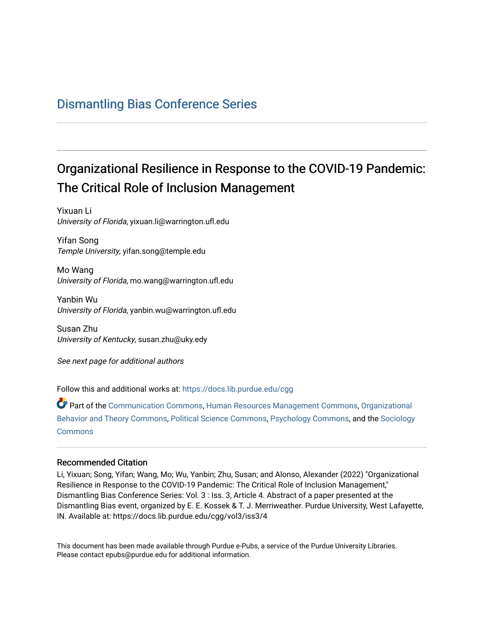## [Dismantling Bias Conference Series](https://docs.lib.purdue.edu/cgg)

# Organizational Resilience in Response to the COVID-19 Pandemic: The Critical Role of Inclusion Management

Yixuan Li University of Florida, yixuan.li@warrington.ufl.edu

Yifan Song Temple University, yifan.song@temple.edu

Mo Wang University of Florida, mo.wang@warrington.ufl.edu

Yanbin Wu University of Florida, yanbin.wu@warrington.ufl.edu

Susan Zhu University of Kentucky, susan.zhu@uky.edy

See next page for additional authors

Follow this and additional works at: [https://docs.lib.purdue.edu/cgg](https://docs.lib.purdue.edu/cgg?utm_source=docs.lib.purdue.edu%2Fcgg%2Fvol3%2Fiss3%2F4&utm_medium=PDF&utm_campaign=PDFCoverPages)

Part of the [Communication Commons,](https://network.bepress.com/hgg/discipline/325?utm_source=docs.lib.purdue.edu%2Fcgg%2Fvol3%2Fiss3%2F4&utm_medium=PDF&utm_campaign=PDFCoverPages) [Human Resources Management Commons,](https://network.bepress.com/hgg/discipline/633?utm_source=docs.lib.purdue.edu%2Fcgg%2Fvol3%2Fiss3%2F4&utm_medium=PDF&utm_campaign=PDFCoverPages) [Organizational](https://network.bepress.com/hgg/discipline/639?utm_source=docs.lib.purdue.edu%2Fcgg%2Fvol3%2Fiss3%2F4&utm_medium=PDF&utm_campaign=PDFCoverPages) [Behavior and Theory Commons,](https://network.bepress.com/hgg/discipline/639?utm_source=docs.lib.purdue.edu%2Fcgg%2Fvol3%2Fiss3%2F4&utm_medium=PDF&utm_campaign=PDFCoverPages) [Political Science Commons,](https://network.bepress.com/hgg/discipline/386?utm_source=docs.lib.purdue.edu%2Fcgg%2Fvol3%2Fiss3%2F4&utm_medium=PDF&utm_campaign=PDFCoverPages) [Psychology Commons,](https://network.bepress.com/hgg/discipline/404?utm_source=docs.lib.purdue.edu%2Fcgg%2Fvol3%2Fiss3%2F4&utm_medium=PDF&utm_campaign=PDFCoverPages) and the [Sociology](https://network.bepress.com/hgg/discipline/416?utm_source=docs.lib.purdue.edu%2Fcgg%2Fvol3%2Fiss3%2F4&utm_medium=PDF&utm_campaign=PDFCoverPages) **[Commons](https://network.bepress.com/hgg/discipline/416?utm_source=docs.lib.purdue.edu%2Fcgg%2Fvol3%2Fiss3%2F4&utm_medium=PDF&utm_campaign=PDFCoverPages)** 

#### Recommended Citation

Li, Yixuan; Song, Yifan; Wang, Mo; Wu, Yanbin; Zhu, Susan; and Alonso, Alexander (2022) "Organizational Resilience in Response to the COVID-19 Pandemic: The Critical Role of Inclusion Management," Dismantling Bias Conference Series: Vol. 3 : Iss. 3, Article 4. Abstract of a paper presented at the Dismantling Bias event, organized by E. E. Kossek & T. J. Merriweather. Purdue University, West Lafayette, IN. Available at: https://docs.lib.purdue.edu/cgg/vol3/iss3/4

This document has been made available through Purdue e-Pubs, a service of the Purdue University Libraries. Please contact epubs@purdue.edu for additional information.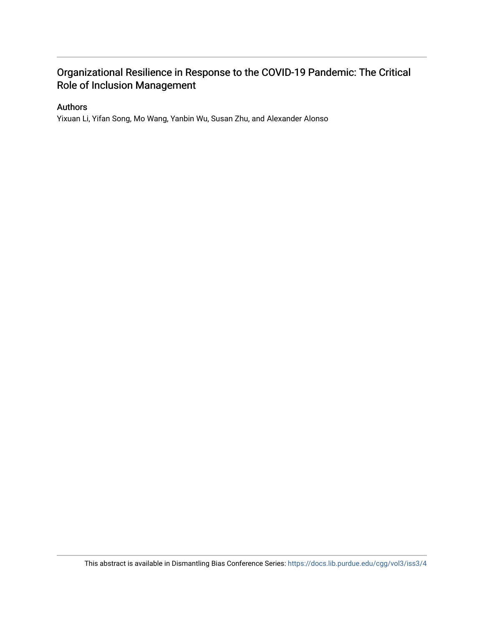### Organizational Resilience in Response to the COVID-19 Pandemic: The Critical Role of Inclusion Management

#### Authors

Yixuan Li, Yifan Song, Mo Wang, Yanbin Wu, Susan Zhu, and Alexander Alonso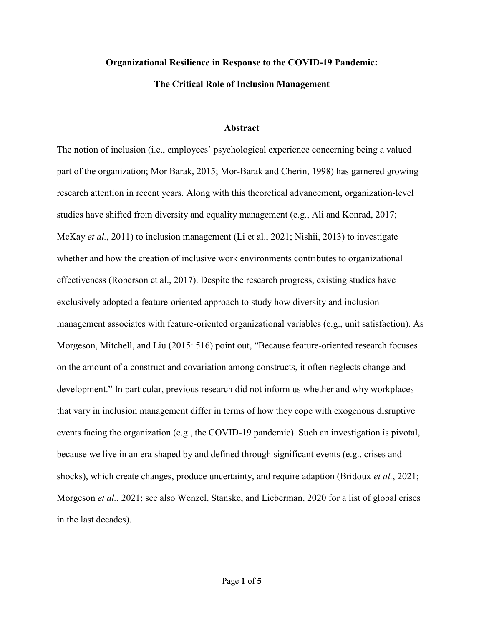# **Organizational Resilience in Response to the COVID-19 Pandemic:**

#### **The Critical Role of Inclusion Management**

#### **Abstract**

 research attention in recent years. Along with this theoretical advancement, organization-level McKay *et al.*, 2011) to inclusion management (Li et al., 2021; Nishii, 2013) to investigate shocks), which create changes, produce uncertainty, and require adaption (Bridoux *et al.*, 2021; The notion of inclusion (i.e., employees' psychological experience concerning being a valued part of the organization; Mor Barak, 2015; Mor-Barak and Cherin, 1998) has garnered growing studies have shifted from diversity and equality management (e.g., Ali and Konrad, 2017; whether and how the creation of inclusive work environments contributes to organizational effectiveness (Roberson et al., 2017). Despite the research progress, existing studies have exclusively adopted a feature-oriented approach to study how diversity and inclusion management associates with feature-oriented organizational variables (e.g., unit satisfaction). As Morgeson, Mitchell, and Liu (2015: 516) point out, "Because feature-oriented research focuses on the amount of a construct and covariation among constructs, it often neglects change and development." In particular, previous research did not inform us whether and why workplaces that vary in inclusion management differ in terms of how they cope with exogenous disruptive events facing the organization (e.g., the COVID-19 pandemic). Such an investigation is pivotal, because we live in an era shaped by and defined through significant events (e.g., crises and Morgeson *et al.*, 2021; see also Wenzel, Stanske, and Lieberman, 2020 for a list of global crises in the last decades).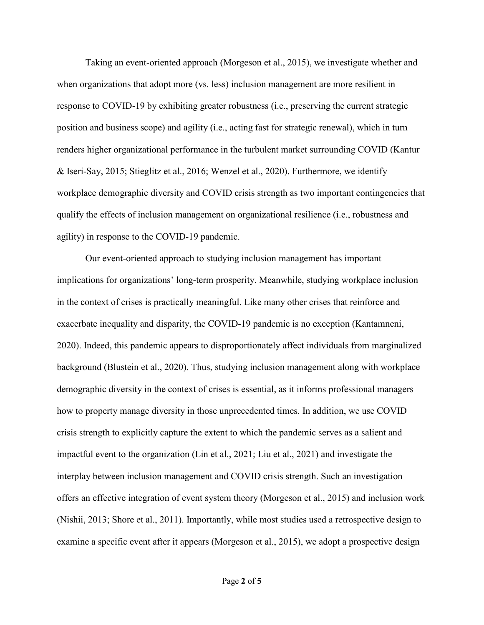response to COVID-19 by exhibiting greater robustness (i.e., preserving the current strategic Taking an event-oriented approach (Morgeson et al., 2015), we investigate whether and when organizations that adopt more (vs. less) inclusion management are more resilient in position and business scope) and agility (i.e., acting fast for strategic renewal), which in turn renders higher organizational performance in the turbulent market surrounding COVID (Kantur & Iseri-Say, 2015; Stieglitz et al., 2016; Wenzel et al., 2020). Furthermore, we identify workplace demographic diversity and COVID crisis strength as two important contingencies that qualify the effects of inclusion management on organizational resilience (i.e., robustness and agility) in response to the COVID-19 pandemic.

 crisis strength to explicitly capture the extent to which the pandemic serves as a salient and impactful event to the organization (Lin et al., 2021; Liu et al., 2021) and investigate the Our event-oriented approach to studying inclusion management has important implications for organizations' long-term prosperity. Meanwhile, studying workplace inclusion in the context of crises is practically meaningful. Like many other crises that reinforce and exacerbate inequality and disparity, the COVID-19 pandemic is no exception (Kantamneni, 2020). Indeed, this pandemic appears to disproportionately affect individuals from marginalized background (Blustein et al., 2020). Thus, studying inclusion management along with workplace demographic diversity in the context of crises is essential, as it informs professional managers how to property manage diversity in those unprecedented times. In addition, we use COVID interplay between inclusion management and COVID crisis strength. Such an investigation offers an effective integration of event system theory (Morgeson et al., 2015) and inclusion work (Nishii, 2013; Shore et al., 2011). Importantly, while most studies used a retrospective design to examine a specific event after it appears (Morgeson et al., 2015), we adopt a prospective design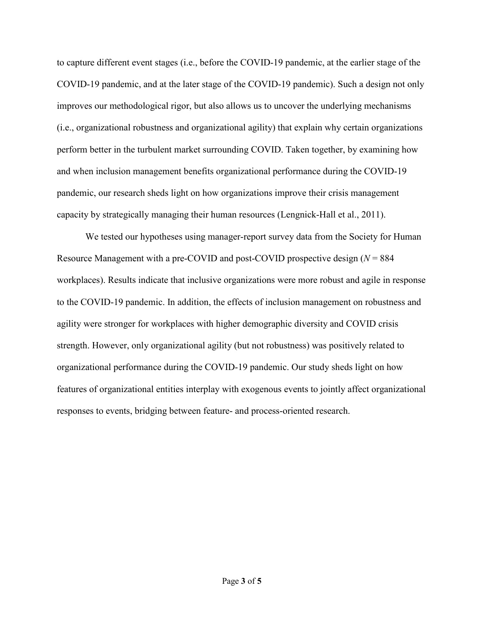to capture different event stages (i.e., before the COVID-19 pandemic, at the earlier stage of the COVID-19 pandemic, and at the later stage of the COVID-19 pandemic). Such a design not only improves our methodological rigor, but also allows us to uncover the underlying mechanisms (i.e., organizational robustness and organizational agility) that explain why certain organizations perform better in the turbulent market surrounding COVID. Taken together, by examining how and when inclusion management benefits organizational performance during the COVID-19 pandemic, our research sheds light on how organizations improve their crisis management capacity by strategically managing their human resources (Lengnick-Hall et al., 2011).

 agility were stronger for workplaces with higher demographic diversity and COVID crisis responses to events, bridging between feature- and process-oriented research. We tested our hypotheses using manager-report survey data from the Society for Human Resource Management with a pre-COVID and post-COVID prospective design (*N* = 884 workplaces). Results indicate that inclusive organizations were more robust and agile in response to the COVID-19 pandemic. In addition, the effects of inclusion management on robustness and strength. However, only organizational agility (but not robustness) was positively related to organizational performance during the COVID-19 pandemic. Our study sheds light on how features of organizational entities interplay with exogenous events to jointly affect organizational responses to events, bridging between feature- and process-oriented research. Page **3** of **5**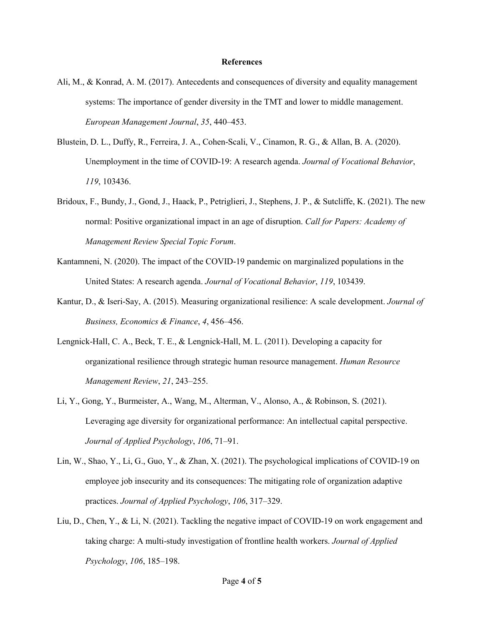#### **References**

- Ali, M., & Konrad, A. M. (2017). Antecedents and consequences of diversity and equality management systems: The importance of gender diversity in the TMT and lower to middle management. *European Management Journal*, *35*, 440–453.
- Blustein, D. L., Duffy, R., Ferreira, J. A., Cohen-Scali, V., Cinamon, R. G., & Allan, B. A. (2020). Unemployment in the time of COVID-19: A research agenda. *Journal of Vocational Behavior*, *119*, 103436.
- Bridoux, F., Bundy, J., Gond, J., Haack, P., Petriglieri, J., Stephens, J. P., & Sutcliffe, K. (2021). The new normal: Positive organizational impact in an age of disruption. *Call for Papers: Academy of Management Review Special Topic Forum*.
- Kantamneni, N. (2020). The impact of the COVID-19 pandemic on marginalized populations in the United States: A research agenda. *Journal of Vocational Behavior*, *119*, 103439.
- Kantur, D., & Iseri-Say, A. (2015). Measuring organizational resilience: A scale development. *Journal of Business, Economics & Finance*, *4*, 456–456.
- Lengnick-Hall, C. A., Beck, T. E., & Lengnick-Hall, M. L. (2011). Developing a capacity for organizational resilience through strategic human resource management. *Human Resource Management Review*, *21*, 243–255.
- Li, Y., Gong, Y., Burmeister, A., Wang, M., Alterman, V., Alonso, A., & Robinson, S. (2021). Leveraging age diversity for organizational performance: An intellectual capital perspective. *Journal of Applied Psychology*, *106*, 71–91.
- Lin, W., Shao, Y., Li, G., Guo, Y., & Zhan, X. (2021). The psychological implications of COVID-19 on employee job insecurity and its consequences: The mitigating role of organization adaptive practices. *Journal of Applied Psychology*, *106*, 317–329.
- taking charge: A multi-study investigation of frontline health workers. *Journal of Applied*  Liu, D., Chen, Y., & Li, N. (2021). Tackling the negative impact of COVID-19 on work engagement and *Psychology*, *106*, 185–198.